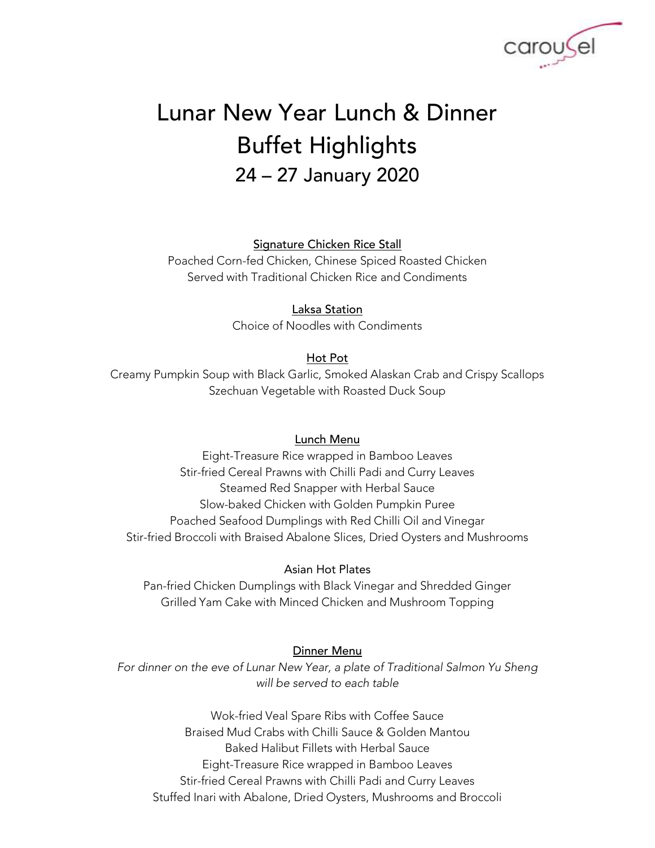

# Lunar New Year Lunch & Dinner Buffet Highlights 24 – 27 January 2020

### Signature Chicken Rice Stall

Poached Corn-fed Chicken, Chinese Spiced Roasted Chicken Served with Traditional Chicken Rice and Condiments

## Laksa Station

Choice of Noodles with Condiments

## Hot Pot

Creamy Pumpkin Soup with Black Garlic, Smoked Alaskan Crab and Crispy Scallops Szechuan Vegetable with Roasted Duck Soup

## Lunch Menu

Eight-Treasure Rice wrapped in Bamboo Leaves Stir-fried Cereal Prawns with Chilli Padi and Curry Leaves Steamed Red Snapper with Herbal Sauce Slow-baked Chicken with Golden Pumpkin Puree Poached Seafood Dumplings with Red Chilli Oil and Vinegar Stir-fried Broccoli with Braised Abalone Slices, Dried Oysters and Mushrooms

### Asian Hot Plates

Pan-fried Chicken Dumplings with Black Vinegar and Shredded Ginger Grilled Yam Cake with Minced Chicken and Mushroom Topping

### Dinner Menu

For dinner on the eve of Lunar New Year, a plate of Traditional Salmon Yu Sheng *will be served to each table*

Wok-fried Veal Spare Ribs with Coffee Sauce Braised Mud Crabs with Chilli Sauce & Golden Mantou Baked Halibut Fillets with Herbal Sauce Eight-Treasure Rice wrapped in Bamboo Leaves Stir-fried Cereal Prawns with Chilli Padi and Curry Leaves Stuffed Inari with Abalone, Dried Oysters, Mushrooms and Broccoli